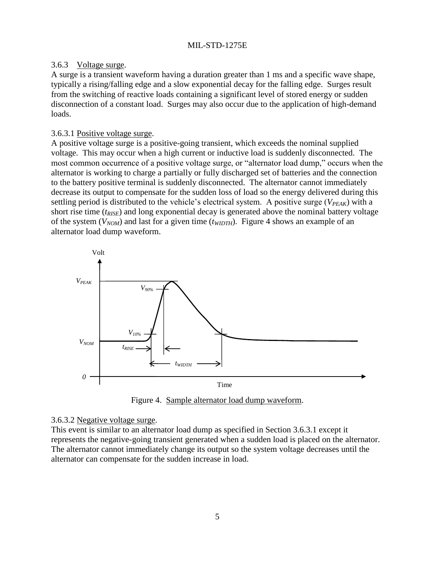## 3.6.3 Voltage surge.

A surge is a transient waveform having a duration greater than 1 ms and a specific wave shape, typically a rising/falling edge and a slow exponential decay for the falling edge. Surges result from the switching of reactive loads containing a significant level of stored energy or sudden disconnection of a constant load. Surges may also occur due to the application of high-demand loads.

## <span id="page-8-1"></span>3.6.3.1 Positive voltage surge.

A positive voltage surge is a positive-going transient, which exceeds the nominal supplied voltage. This may occur when a high current or inductive load is suddenly disconnected. The most common occurrence of a positive voltage surge, or "alternator load dump," occurs when the alternator is working to charge a partially or fully discharged set of batteries and the connection to the battery positive terminal is suddenly disconnected. The alternator cannot immediately decrease its output to compensate for the sudden loss of load so the energy delivered during this settling period is distributed to the vehicle's electrical system. A positive surge ( $V_{PEAK}$ ) with a short rise time (*tRISE*) and long exponential decay is generated above the nominal battery voltage of the system (*VNOM*) and last for a given time (*tWIDTH*). [Figure 4](#page-8-0) shows an example of an alternator load dump waveform.



Figure 4. Sample alternator load dump waveform.

## <span id="page-8-0"></span>3.6.3.2 Negative voltage surge.

This event is similar to an alternator load dump as specified in Section [3.6.3.1](#page-8-1) except it represents the negative-going transient generated when a sudden load is placed on the alternator. The alternator cannot immediately change its output so the system voltage decreases until the alternator can compensate for the sudden increase in load.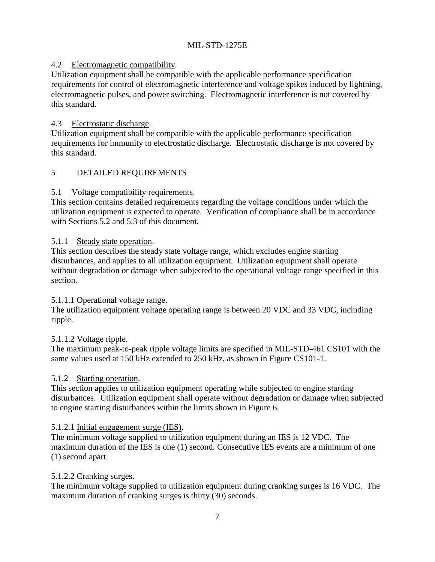# 4.2 Electromagnetic compatibility.

Utilization equipment shall be compatible with the applicable performance specification requirements for control of electromagnetic interference and voltage spikes induced by lightning, electromagnetic pulses, and power switching. Electromagnetic interference is not covered by this standard.

## 4.3 Electrostatic discharge.

Utilization equipment shall be compatible with the applicable performance specification requirements for immunity to electrostatic discharge. Electrostatic discharge is not covered by this standard.

## 5 DETAILED REQUIREMENTS

## 5.1 Voltage compatibility requirements.

This section contains detailed requirements regarding the voltage conditions under which the utilization equipment is expected to operate. Verification of compliance shall be in accordance with Sections [5.2](#page-12-0) and [5.3](#page-14-0) of this document.

## 5.1.1 Steady state operation.

This section describes the steady state voltage range, which excludes engine starting disturbances, and applies to all utilization equipment. Utilization equipment shall operate without degradation or damage when subjected to the operational voltage range specified in this section.

## 5.1.1.1 Operational voltage range.

The utilization equipment voltage operating range is between 20 VDC and 33 VDC, including ripple.

# 5.1.1.2 Voltage ripple.

The maximum peak-to-peak ripple voltage limits are specified in MIL-STD-461 CS101 with the same values used at 150 kHz extended to 250 kHz, as shown in Figure CS101-1.

# 5.1.2 Starting operation.

This section applies to utilization equipment operating while subjected to engine starting disturbances. Utilization equipment shall operate without degradation or damage when subjected to engine starting disturbances within the limits shown in [Figure 6](#page-11-0).

# 5.1.2.1 Initial engagement surge (IES).

The minimum voltage supplied to utilization equipment during an IES is 12 VDC. The maximum duration of the IES is one (1) second. Consecutive IES events are a minimum of one (1) second apart.

# 5.1.2.2 Cranking surges.

The minimum voltage supplied to utilization equipment during cranking surges is 16 VDC. The maximum duration of cranking surges is thirty (30) seconds.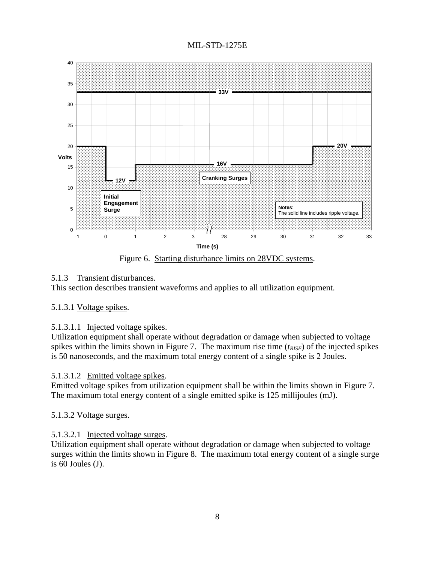MIL-STD-1275E



Figure 6. Starting disturbance limits on 28VDC systems.

# <span id="page-11-0"></span>5.1.3 Transient disturbances.

This section describes transient waveforms and applies to all utilization equipment.

## 5.1.3.1 Voltage spikes.

## 5.1.3.1.1 Injected voltage spikes.

Utilization equipment shall operate without degradation or damage when subjected to voltage spikes within the limits shown in [Figure 7](#page-12-1). The maximum rise time (*tRISE*) of the injected spikes is 50 nanoseconds, and the maximum total energy content of a single spike is 2 Joules.

## 5.1.3.1.2 Emitted voltage spikes.

Emitted voltage spikes from utilization equipment shall be within the limits shown in [Figure 7](#page-12-1). The maximum total energy content of a single emitted spike is 125 millijoules (mJ).

## 5.1.3.2 Voltage surges.

# 5.1.3.2.1 Injected voltage surges.

Utilization equipment shall operate without degradation or damage when subjected to voltage surges within the limits shown in [Figure 8](#page-13-0). The maximum total energy content of a single surge is 60 Joules (J).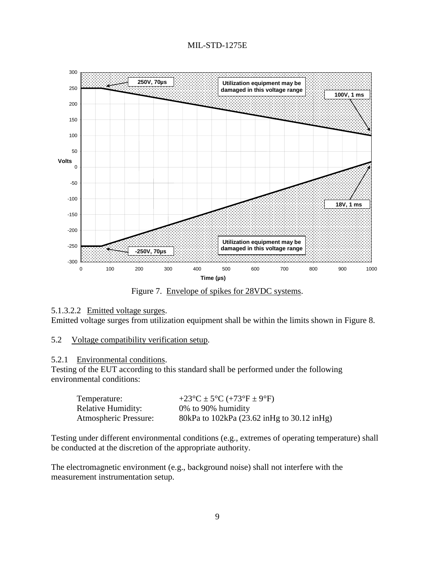



Figure 7. Envelope of spikes for 28VDC systems.

#### <span id="page-12-1"></span>5.1.3.2.2 Emitted voltage surges.

Emitted voltage surges from utilization equipment shall be within the limits shown in [Figure 8](#page-13-0).

#### <span id="page-12-0"></span>5.2 Voltage compatibility verification setup.

#### 5.2.1 Environmental conditions.

Testing of the EUT according to this standard shall be performed under the following environmental conditions:

| Temperature:                 | +23 <sup>o</sup> C ± 5 <sup>o</sup> C (+73 <sup>o</sup> F ± 9 <sup>o</sup> F) |
|------------------------------|-------------------------------------------------------------------------------|
| Relative Humidity:           | $0\%$ to 90% humidity                                                         |
| <b>Atmospheric Pressure:</b> | 80kPa to 102kPa (23.62 inHg to 30.12 inHg)                                    |

Testing under different environmental conditions (e.g., extremes of operating temperature) shall be conducted at the discretion of the appropriate authority.

The electromagnetic environment (e.g., background noise) shall not interfere with the measurement instrumentation setup.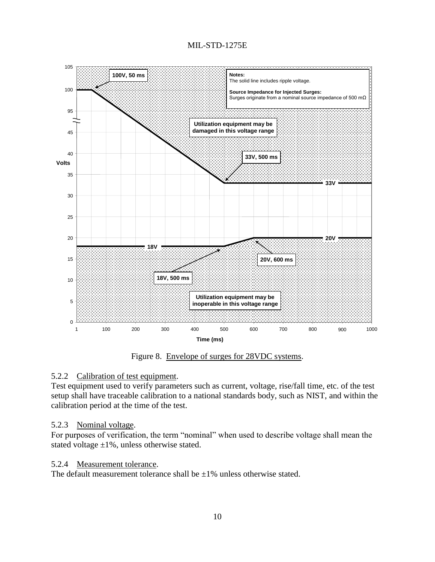

Figure 8. Envelope of surges for 28VDC systems.

# <span id="page-13-0"></span>5.2.2 Calibration of test equipment.

Test equipment used to verify parameters such as current, voltage, rise/fall time, etc. of the test setup shall have traceable calibration to a national standards body, such as NIST, and within the calibration period at the time of the test.

## 5.2.3 Nominal voltage.

For purposes of verification, the term "nominal" when used to describe voltage shall mean the stated voltage  $\pm 1\%$ , unless otherwise stated.

## 5.2.4 Measurement tolerance.

The default measurement tolerance shall be  $\pm 1\%$  unless otherwise stated.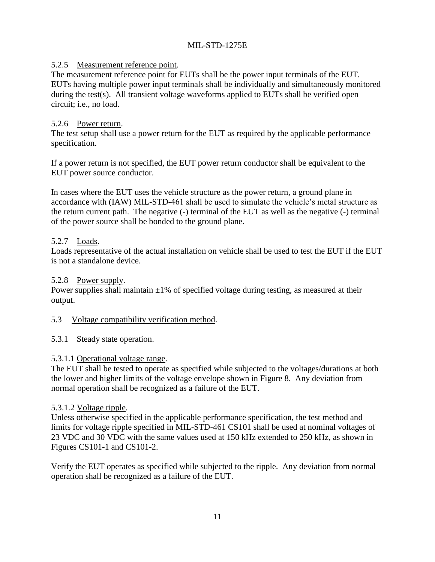# 5.2.5 Measurement reference point.

The measurement reference point for EUTs shall be the power input terminals of the EUT. EUTs having multiple power input terminals shall be individually and simultaneously monitored during the test(s). All transient voltage waveforms applied to EUTs shall be verified open circuit; i.e., no load.

## 5.2.6 Power return.

The test setup shall use a power return for the EUT as required by the applicable performance specification.

If a power return is not specified, the EUT power return conductor shall be equivalent to the EUT power source conductor.

In cases where the EUT uses the vehicle structure as the power return, a ground plane in accordance with (IAW) MIL-STD-461 shall be used to simulate the vehicle's metal structure as the return current path. The negative (-) terminal of the EUT as well as the negative (-) terminal of the power source shall be bonded to the ground plane.

## 5.2.7 Loads.

Loads representative of the actual installation on vehicle shall be used to test the EUT if the EUT is not a standalone device.

## 5.2.8 Power supply.

Power supplies shall maintain  $\pm 1\%$  of specified voltage during testing, as measured at their output.

## <span id="page-14-0"></span>5.3 Voltage compatibility verification method.

## 5.3.1 Steady state operation.

## 5.3.1.1 Operational voltage range.

The EUT shall be tested to operate as specified while subjected to the voltages/durations at both the lower and higher limits of the voltage envelope shown in [Figure 8](#page-13-0). Any deviation from normal operation shall be recognized as a failure of the EUT.

## 5.3.1.2 Voltage ripple.

Unless otherwise specified in the applicable performance specification, the test method and limits for voltage ripple specified in MIL-STD-461 CS101 shall be used at nominal voltages of 23 VDC and 30 VDC with the same values used at 150 kHz extended to 250 kHz, as shown in Figures CS101-1 and CS101-2.

Verify the EUT operates as specified while subjected to the ripple. Any deviation from normal operation shall be recognized as a failure of the EUT.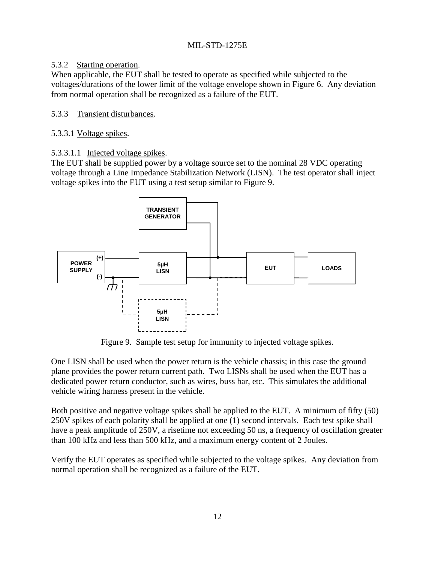# 5.3.2 Starting operation.

When applicable, the EUT shall be tested to operate as specified while subjected to the voltages/durations of the lower limit of the voltage envelope shown in [Figure 6](#page-11-0). Any deviation from normal operation shall be recognized as a failure of the EUT.

# 5.3.3 Transient disturbances.

## 5.3.3.1 Voltage spikes.

5.3.3.1.1 Injected voltage spikes.

The EUT shall be supplied power by a voltage source set to the nominal 28 VDC operating voltage through a Line Impedance Stabilization Network (LISN). The test operator shall inject voltage spikes into the EUT using a test setup similar to [Figure 9](#page-15-0).



Figure 9. Sample test setup for immunity to injected voltage spikes.

<span id="page-15-0"></span>One LISN shall be used when the power return is the vehicle chassis; in this case the ground plane provides the power return current path. Two LISNs shall be used when the EUT has a dedicated power return conductor, such as wires, buss bar, etc. This simulates the additional vehicle wiring harness present in the vehicle.

Both positive and negative voltage spikes shall be applied to the EUT. A minimum of fifty (50) 250V spikes of each polarity shall be applied at one (1) second intervals. Each test spike shall have a peak amplitude of 250V, a risetime not exceeding 50 ns, a frequency of oscillation greater than 100 kHz and less than 500 kHz, and a maximum energy content of 2 Joules.

Verify the EUT operates as specified while subjected to the voltage spikes. Any deviation from normal operation shall be recognized as a failure of the EUT.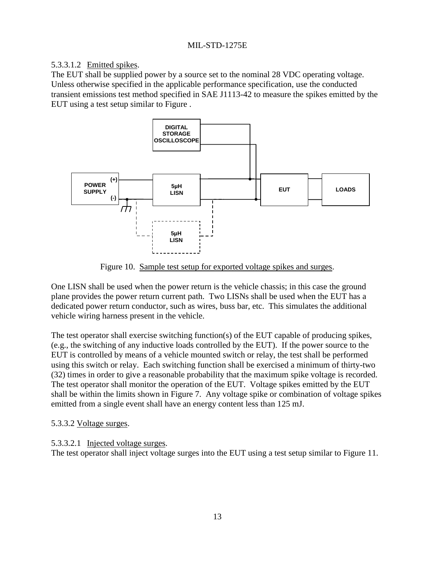# 5.3.3.1.2 Emitted spikes.

The EUT shall be supplied power by a source set to the nominal 28 VDC operating voltage. Unless otherwise specified in the applicable performance specification, use the conducted transient emissions test method specified in SAE J1113-42 to measure the spikes emitted by the EUT using a test setup similar to [Figure .](#page-16-0)



Figure 10. Sample test setup for exported voltage spikes and surges.

<span id="page-16-0"></span>One LISN shall be used when the power return is the vehicle chassis; in this case the ground plane provides the power return current path. Two LISNs shall be used when the EUT has a dedicated power return conductor, such as wires, buss bar, etc. This simulates the additional vehicle wiring harness present in the vehicle.

The test operator shall exercise switching function(s) of the EUT capable of producing spikes, (e.g., the switching of any inductive loads controlled by the EUT). If the power source to the EUT is controlled by means of a vehicle mounted switch or relay, the test shall be performed using this switch or relay. Each switching function shall be exercised a minimum of thirty-two (32) times in order to give a reasonable probability that the maximum spike voltage is recorded. The test operator shall monitor the operation of the EUT. Voltage spikes emitted by the EUT shall be within the limits shown in [Figure 7](#page-12-1). Any voltage spike or combination of voltage spikes emitted from a single event shall have an energy content less than 125 mJ.

# 5.3.3.2 Voltage surges.

# 5.3.3.2.1 Injected voltage surges.

The test operator shall inject voltage surges into the EUT using a test setup similar to [Figure 1](#page-17-0)1.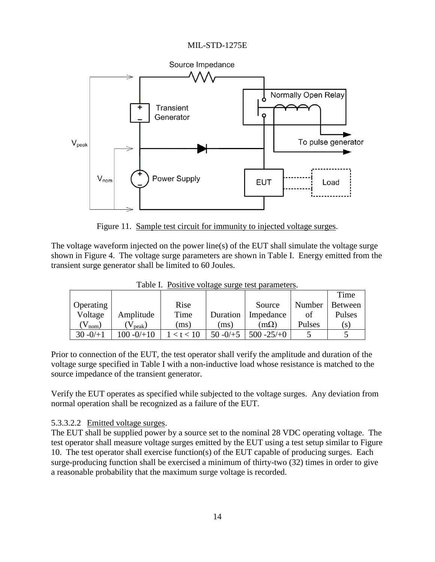



Figure 11. Sample test circuit for immunity to injected voltage surges.

<span id="page-17-0"></span>The voltage waveform injected on the power line(s) of the EUT shall simulate the voltage surge shown in [Figure 4.](#page-8-0) The voltage surge parameters are shown in [Table I](#page-17-1). Energy emitted from the transient surge generator shall be limited to 60 Joules.

<span id="page-17-1"></span>

|                  |              |      |             |               |        | Time           |  |  |
|------------------|--------------|------|-------------|---------------|--------|----------------|--|--|
| <b>Operating</b> |              | Rise |             | Source        | Number | <b>Between</b> |  |  |
| Voltage          | Amplitude    | Time | Duration    | Impedance     | ot     | Pulses         |  |  |
| $V_{\text{nom}}$ | $(V_{peak})$ | (ms) | (ms)        | m(2)          | Pulses | (S)            |  |  |
| $30 - 0/11$      | $100 - 0/10$ |      | $50 - 0/15$ | $500 - 25/10$ |        |                |  |  |

Table I. Positive voltage surge test parameters.

Prior to connection of the EUT, the test operator shall verify the amplitude and duration of the voltage surge specified in [Table I](#page-17-1) with a non-inductive load whose resistance is matched to the source impedance of the transient generator.

Verify the EUT operates as specified while subjected to the voltage surges. Any deviation from normal operation shall be recognized as a failure of the EUT.

# 5.3.3.2.2 Emitted voltage surges.

The EUT shall be supplied power by a source set to the nominal 28 VDC operating voltage. The test operator shall measure voltage surges emitted by the EUT using a test setup similar to [Figure](#page-16-0)  10. The test operator shall exercise function(s) of the EUT capable of producing surges. Each surge-producing function shall be exercised a minimum of thirty-two (32) times in order to give a reasonable probability that the maximum surge voltage is recorded.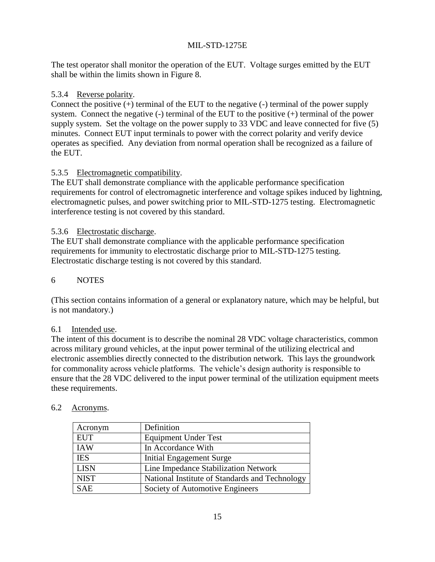The test operator shall monitor the operation of the EUT. Voltage surges emitted by the EUT shall be within the limits shown in [Figure 8](#page-13-0).

## 5.3.4 Reverse polarity.

Connect the positive (+) terminal of the EUT to the negative (-) terminal of the power supply system. Connect the negative (-) terminal of the EUT to the positive (+) terminal of the power supply system. Set the voltage on the power supply to 33 VDC and leave connected for five (5) minutes. Connect EUT input terminals to power with the correct polarity and verify device operates as specified. Any deviation from normal operation shall be recognized as a failure of the EUT.

## 5.3.5 Electromagnetic compatibility.

The EUT shall demonstrate compliance with the applicable performance specification requirements for control of electromagnetic interference and voltage spikes induced by lightning, electromagnetic pulses, and power switching prior to MIL-STD-1275 testing. Electromagnetic interference testing is not covered by this standard.

## 5.3.6 Electrostatic discharge.

The EUT shall demonstrate compliance with the applicable performance specification requirements for immunity to electrostatic discharge prior to MIL-STD-1275 testing. Electrostatic discharge testing is not covered by this standard.

## 6 NOTES

(This section contains information of a general or explanatory nature, which may be helpful, but is not mandatory.)

## 6.1 Intended use.

The intent of this document is to describe the nominal 28 VDC voltage characteristics, common across military ground vehicles, at the input power terminal of the utilizing electrical and electronic assemblies directly connected to the distribution network. This lays the groundwork for commonality across vehicle platforms. The vehicle's design authority is responsible to ensure that the 28 VDC delivered to the input power terminal of the utilization equipment meets these requirements.

| Acronym     | Definition                                     |
|-------------|------------------------------------------------|
| <b>EUT</b>  | <b>Equipment Under Test</b>                    |
| <b>IAW</b>  | In Accordance With                             |
| <b>IES</b>  | <b>Initial Engagement Surge</b>                |
| <b>LISN</b> | Line Impedance Stabilization Network           |
| <b>NIST</b> | National Institute of Standards and Technology |
| <b>SAE</b>  | Society of Automotive Engineers                |

# 6.2 Acronyms.